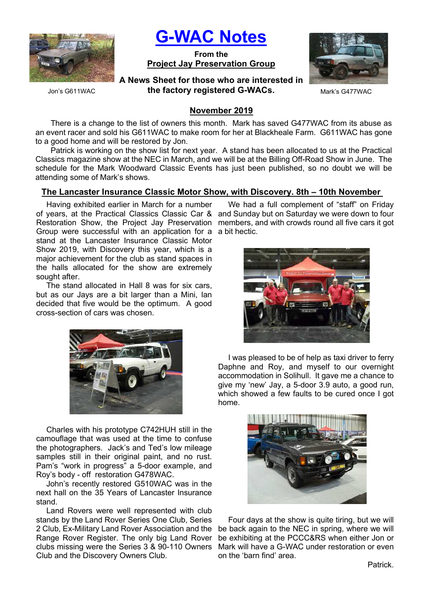

G-WAC Notes

From the Project Jay Preservation Group



Jon's G611WAC

A News Sheet for those who are interested in the factory registered G-WACs. Mark's G477WAC

# November 2019

There is a change to the list of owners this month. Mark has saved G477WAC from its abuse as an event racer and sold his G611WAC to make room for her at Blackheale Farm. G611WAC has gone to a good home and will be restored by Jon.

Patrick is working on the show list for next year. A stand has been allocated to us at the Practical Classics magazine show at the NEC in March, and we will be at the Billing Off-Road Show in June. The schedule for the Mark Woodward Classic Events has just been published, so no doubt we will be attending some of Mark's shows.

# The Lancaster Insurance Classic Motor Show, with Discovery. 8th – 10th November

Having exhibited earlier in March for a number of years, at the Practical Classics Classic Car & and Sunday but on Saturday we were down to four Restoration Show, the Project Jay Preservation members, and with crowds round all five cars it got Group were successful with an application for a a bit hectic. stand at the Lancaster Insurance Classic Motor Show 2019, with Discovery this year, which is a major achievement for the club as stand spaces in the halls allocated for the show are extremely sought after.

The stand allocated in Hall 8 was for six cars, but as our Jays are a bit larger than a Mini, Ian decided that five would be the optimum. A good cross-section of cars was chosen.



Charles with his prototype C742HUH still in the camouflage that was used at the time to confuse the photographers. Jack's and Ted's low mileage samples still in their original paint, and no rust. Pam's "work in progress" a 5-door example, and Roy's body - off restoration G478WAC.

John's recently restored G510WAC was in the next hall on the 35 Years of Lancaster Insurance stand.

Land Rovers were well represented with club stands by the Land Rover Series One Club, Series 2 Club, Ex-Military Land Rover Association and the be back again to the NEC in spring, where we will Range Rover Register. The only big Land Rover be exhibiting at the PCCC&RS when either Jon or clubs missing were the Series 3 & 90-110 Owners Mark will have a G-WAC under restoration or even Club and the Discovery Owners Club.

We had a full complement of "staff" on Friday



I was pleased to be of help as taxi driver to ferry Daphne and Roy, and myself to our overnight accommodation in Solihull. It gave me a chance to give my 'new' Jay, a 5-door 3.9 auto, a good run, which showed a few faults to be cured once I got home.



Four days at the show is quite tiring, but we will on the 'barn find' area.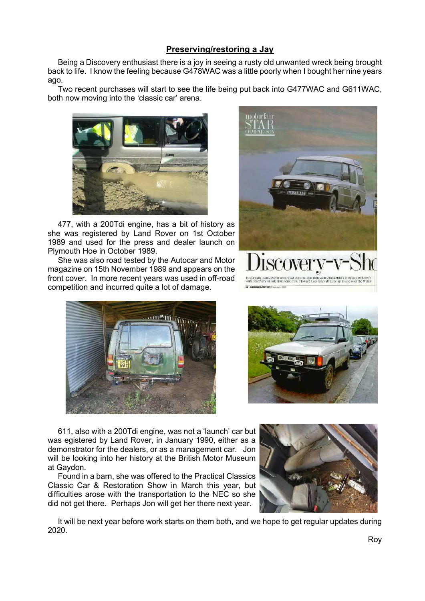# Preserving/restoring a Jay

Being a Discovery enthusiast there is a joy in seeing a rusty old unwanted wreck being brought back to life. I know the feeling because G478WAC was a little poorly when I bought her nine years ago.

Two recent purchases will start to see the life being put back into G477WAC and G611WAC, both now moving into the 'classic car' arena.



477, with a 200Tdi engine, has a bit of history as she was registered by Land Rover on 1st October 1989 and used for the press and dealer launch on Plymouth Hoe in October 1989.

She was also road tested by the Autocar and Motor magazine on 15th November 1989 and appears on the front cover. In more recent years was used in off-road competition and incurred quite a lot of damage.







611, also with a 200Tdi engine, was not a 'launch' car but was egistered by Land Rover, in January 1990, either as a demonstrator for the dealers, or as a management car. Jon will be looking into her history at the British Motor Museum at Gaydon.

Found in a barn, she was offered to the Practical Classics Classic Car & Restoration Show in March this year, but difficulties arose with the transportation to the NEC so she did not get there. Perhaps Jon will get her there next year.



It will be next year before work starts on them both, and we hope to get regular updates during 2020.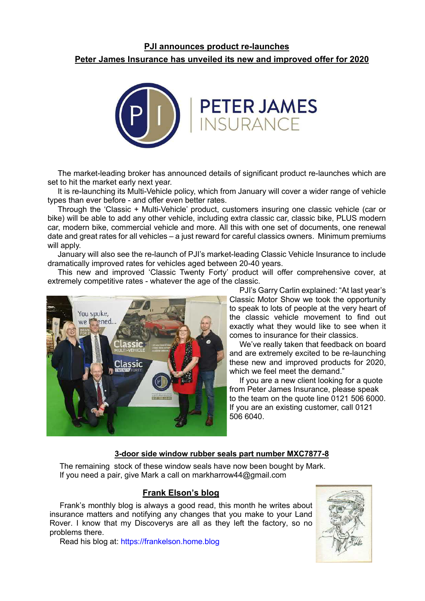# PJI announces product re-launches Peter James Insurance has unveiled its new and improved offer for 2020



The market-leading broker has announced details of significant product re-launches which are set to hit the market early next year.

It is re-launching its Multi-Vehicle policy, which from January will cover a wider range of vehicle types than ever before - and offer even better rates.

Through the 'Classic + Multi-Vehicle' product, customers insuring one classic vehicle (car or bike) will be able to add any other vehicle, including extra classic car, classic bike, PLUS modern car, modern bike, commercial vehicle and more. All this with one set of documents, one renewal date and great rates for all vehicles – a just reward for careful classics owners. Minimum premiums will apply.

January will also see the re-launch of PJI's market-leading Classic Vehicle Insurance to include dramatically improved rates for vehicles aged between 20-40 years.

This new and improved 'Classic Twenty Forty' product will offer comprehensive cover, at extremely competitive rates - whatever the age of the classic.



PJI's Garry Carlin explained: "At last year's Classic Motor Show we took the opportunity to speak to lots of people at the very heart of the classic vehicle movement to find out exactly what they would like to see when it comes to insurance for their classics.

We've really taken that feedback on board and are extremely excited to be re-launching these new and improved products for 2020, which we feel meet the demand."

If you are a new client looking for a quote from Peter James Insurance, please speak to the team on the quote line 0121 506 6000. If you are an existing customer, call 0121 506 6040.

### 3-door side window rubber seals part number MXC7877-8

The remaining stock of these window seals have now been bought by Mark. If you need a pair, give Mark a call on markharrow44@gmail.com

# Frank Elson's blog

Frank's monthly blog is always a good read, this month he writes about insurance matters and notifying any changes that you make to your Land Rover. I know that my Discoverys are all as they left the factory, so no problems there.

Read his blog at: https://frankelson.home.blog